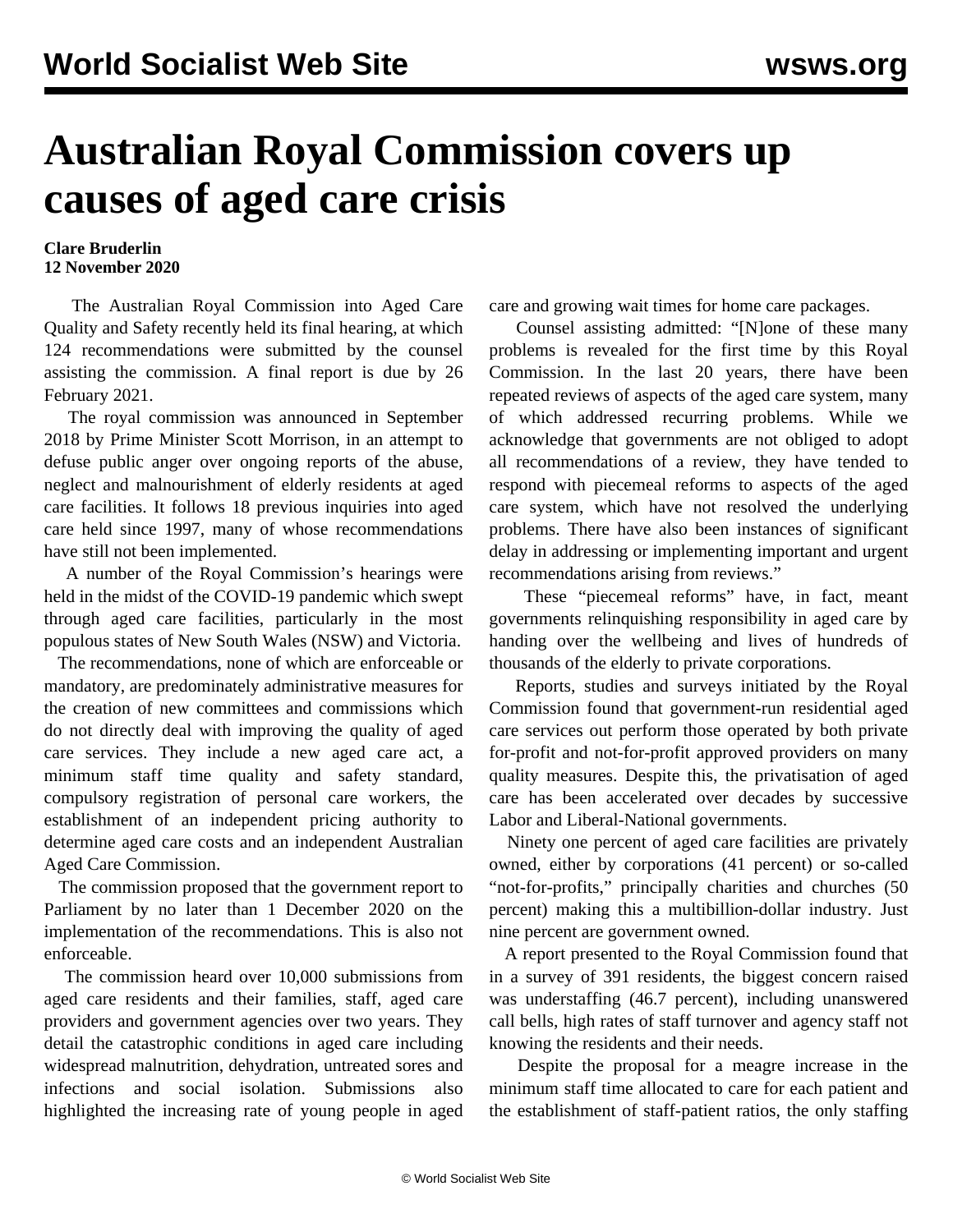## **Australian Royal Commission covers up causes of aged care crisis**

## **Clare Bruderlin 12 November 2020**

 The Australian Royal Commission into Aged Care Quality and Safety recently held its final hearing, at which 124 recommendations were submitted by the counsel assisting the commission. A final report is due by 26 February 2021.

 The royal commission was announced in September 2018 by Prime Minister Scott Morrison, in an attempt to defuse public anger over ongoing reports of the abuse, neglect and malnourishment of elderly residents at aged care facilities. It follows 18 previous inquiries into aged care held since 1997, many of whose recommendations have still not been implemented.

 A number of the Royal Commission's hearings were held in the midst of the COVID-19 pandemic which swept through aged care facilities, particularly in the most populous states of New South Wales (NSW) and Victoria.

 The recommendations, none of which are enforceable or mandatory, are predominately administrative measures for the creation of new committees and commissions which do not directly deal with improving the quality of aged care services. They include a new aged care act, a minimum staff time quality and safety standard, compulsory registration of personal care workers, the establishment of an independent pricing authority to determine aged care costs and an independent Australian Aged Care Commission.

 The commission proposed that the government report to Parliament by no later than 1 December 2020 on the implementation of the recommendations. This is also not enforceable.

 The commission heard over 10,000 submissions from aged care residents and their families, staff, aged care providers and government agencies over two years. They detail the catastrophic conditions in aged care including widespread malnutrition, dehydration, untreated sores and infections and social isolation. Submissions also highlighted the increasing rate of young people in aged

care and growing wait times for home care packages.

 Counsel assisting admitted: "[N]one of these many problems is revealed for the first time by this Royal Commission. In the last 20 years, there have been repeated reviews of aspects of the aged care system, many of which addressed recurring problems. While we acknowledge that governments are not obliged to adopt all recommendations of a review, they have tended to respond with piecemeal reforms to aspects of the aged care system, which have not resolved the underlying problems. There have also been instances of significant delay in addressing or implementing important and urgent recommendations arising from reviews."

 These "piecemeal reforms" have, in fact, meant governments relinquishing responsibility in aged care by handing over the wellbeing and lives of hundreds of thousands of the elderly to private corporations.

 Reports, studies and surveys initiated by the Royal Commission found that government-run residential aged care services out perform those operated by both private for-profit and not-for-profit approved providers on many quality measures. Despite this, the privatisation of aged care has been accelerated over decades by successive Labor and Liberal-National governments.

 Ninety one percent of aged care facilities are privately owned, either by corporations (41 percent) or so-called "not-for-profits," principally charities and churches (50 percent) making this a multibillion-dollar industry. Just nine percent are government owned.

 A report presented to the Royal Commission found that in a survey of 391 residents, the biggest concern raised was understaffing (46.7 percent), including unanswered call bells, high rates of staff turnover and agency staff not knowing the residents and their needs.

 Despite the proposal for a meagre increase in the minimum staff time allocated to care for each patient and the establishment of staff-patient ratios, the only staffing